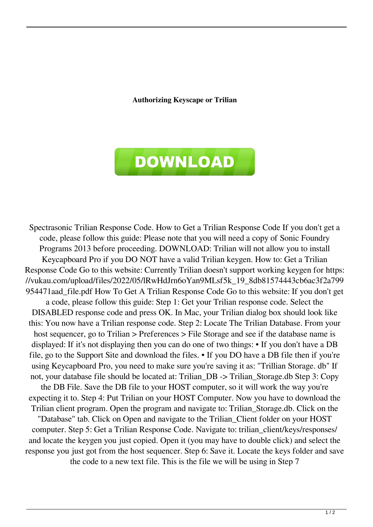## **Authorizing Keyscape or Trilian**



Spectrasonic Trilian Response Code. How to Get a Trilian Response Code If you don't get a code, please follow this guide: Please note that you will need a copy of Sonic Foundry Programs 2013 before proceeding. DOWNLOAD: Trilian will not allow you to install Keycapboard Pro if you DO NOT have a valid Trilian keygen. How to: Get a Trilian Response Code Go to this website: Currently Trilian doesn't support working keygen for https: //vukau.com/upload/files/2022/05/lRwHdJrn6oYan9MLsf5k\_19\_8db81574443cb6ac3f2a799 954471aad\_file.pdf How To Get A Trilian Response Code Go to this website: If you don't get a code, please follow this guide: Step 1: Get your Trilian response code. Select the DISABLED response code and press OK. In Mac, your Trilian dialog box should look like this: You now have a Trilian response code. Step 2: Locate The Trilian Database. From your host sequencer, go to Trilian > Preferences > File Storage and see if the database name is displayed: If it's not displaying then you can do one of two things: • If you don't have a DB file, go to the Support Site and download the files. • If you DO have a DB file then if you're using Keycapboard Pro, you need to make sure you're saving it as: "Trillian Storage. db" If not, your database file should be located at: Trilian\_DB -> Trilian\_Storage.db Step 3: Copy the DB File. Save the DB file to your HOST computer, so it will work the way you're expecting it to. Step 4: Put Trilian on your HOST Computer. Now you have to download the Trilian client program. Open the program and navigate to: Trilian\_Storage.db. Click on the "Database" tab. Click on Open and navigate to the Trilian\_Client folder on your HOST computer. Step 5: Get a Trilian Response Code. Navigate to: trilian\_client/keys/responses/ and locate the keygen you just copied. Open it (you may have to double click) and select the response you just got from the host sequencer. Step 6: Save it. Locate the keys folder and save

the code to a new text file. This is the file we will be using in Step 7